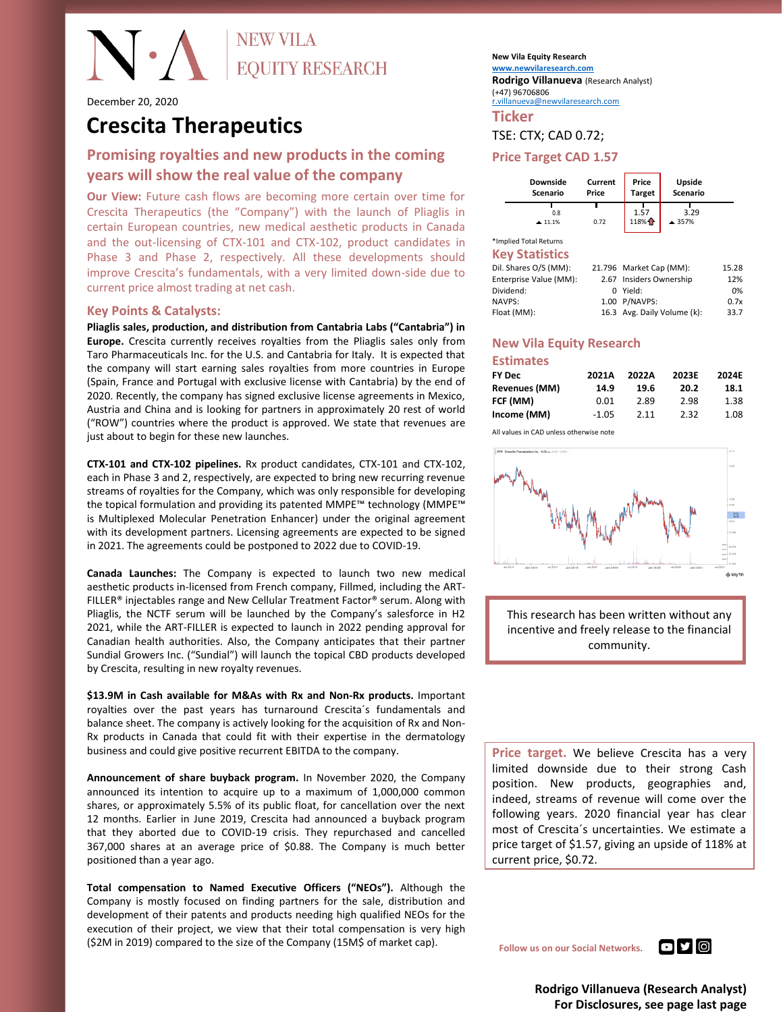### **NEW VILA**  $\bullet$   $\wedge$ **EQUITY RESEARCH**

December 20, 2020

## **Crescita Therapeutics**

#### **Promising royalties and new products in the coming years will show the real value of the company**

**Our View:** Future cash flows are becoming more certain over time for Crescita Therapeutics (the "Company") with the launch of Pliaglis in certain European countries, new medical aesthetic products in Canada and the out-licensing of CTX-101 and CTX-102, product candidates in Phase 3 and Phase 2, respectively. All these developments should improve Crescita's fundamentals, with a very limited down-side due to current price almost trading at net cash.

#### **Key Points & Catalysts:**

**Pliaglis sales, production, and distribution from Cantabria Labs ("Cantabria") in Europe.** Crescita currently receives royalties from the Pliaglis sales only from Taro Pharmaceuticals Inc. for the U.S. and Cantabria for Italy. It is expected that the company will start earning sales royalties from more countries in Europe (Spain, France and Portugal with exclusive license with Cantabria) by the end of 2020. Recently, the company has signed exclusive license agreements in Mexico, Austria and China and is looking for partners in approximately 20 rest of world ("ROW") countries where the product is approved. We state that revenues are just about to begin for these new launches.

**CTX-101 and CTX-102 pipelines.** Rx product candidates, CTX-101 and CTX-102, each in Phase 3 and 2, respectively, are expected to bring new recurring revenue streams of royalties for the Company, which was only responsible for developing the topical formulation and providing its patented MMPE™ technology (MMPE™ is Multiplexed Molecular Penetration Enhancer) under the original agreement with its development partners. Licensing agreements are expected to be signed in 2021. The agreements could be postponed to 2022 due to COVID-19.

**Canada Launches:** The Company is expected to launch two new medical aesthetic products in-licensed from French company, Fillmed, including the ART-FILLER® injectables range and New Cellular Treatment Factor® serum. Along with Pliaglis, the NCTF serum will be launched by the Company's salesforce in H2 2021, while the ART-FILLER is expected to launch in 2022 pending approval for Canadian health authorities. Also, the Company anticipates that their partner Sundial Growers Inc. ("Sundial") will launch the topical CBD products developed by Crescita, resulting in new royalty revenues.

**\$13.9M in Cash available for M&As with Rx and Non-Rx products.** Important royalties over the past years has turnaround Crescita´s fundamentals and balance sheet. The company is actively looking for the acquisition of Rx and Non-Rx products in Canada that could fit with their expertise in the dermatology business and could give positive recurrent EBITDA to the company.

**Announcement of share buyback program.** In November 2020, the Company announced its intention to acquire up to a maximum of 1,000,000 common shares, or approximately 5.5% of its public float, for cancellation over the next 12 months. Earlier in June 2019, Crescita had announced a buyback program that they aborted due to COVID-19 crisis. They repurchased and cancelled 367,000 shares at an average price of \$0.88. The Company is much better positioned than a year ago.

**Total compensation to Named Executive Officers ("NEOs").** Although the Company is mostly focused on finding partners for the sale, distribution and development of their patents and products needing high qualified NEOs for the execution of their project, we view that their total compensation is very high (\$2M in 2019) compared to the size of the Company (15M\$ of market cap).

**New Vila Equity Research <www.newvilaresearch.com> Rodrigo Villanueva** (Research Analyst) (+47) 96706806

[r.villanueva@newvilaresearch.com](mailto:r.villanueva@newvilaresearch.com)

**Ticker**

#### TSE: CTX; CAD 0.72;

#### **Price Target CAD 1.57**

| Downside        | Current | Price         | Upside   |  |  |  |
|-----------------|---------|---------------|----------|--|--|--|
| <b>Scenario</b> | Price   | <b>Target</b> | Scenario |  |  |  |
| 0.8             | 0.72    | 1.57          | 3.29     |  |  |  |
| 11.1%           |         | 118%个         | ▲ 357%   |  |  |  |

\*Implied Total Returns **Key Statistics**

| ns y seumonss          |                             |       |
|------------------------|-----------------------------|-------|
| Dil. Shares O/S (MM):  | 21.796 Market Cap (MM):     | 15.28 |
| Enterprise Value (MM): | 2.67 Insiders Ownership     | 12%   |
| Dividend:              | 0 Yield:                    | 0%    |
| <b>NAVPS:</b>          | 1.00 P/NAVPS:               | 0.7x  |
| Float (MM):            | 16.3 Avg. Daily Volume (k): | 33.7  |
|                        |                             |       |

#### **New Vila Equity Research Estimates**

| <b>FY Dec</b> | 2021A   | 2022A | 2023E | 2024E |
|---------------|---------|-------|-------|-------|
| Revenues (MM) | 14.9    | 19.6  | 20.2  | 18.1  |
| FCF (MM)      | 0.01    | 2.89  | 2.98  | 1.38  |
| Income (MM)   | $-1.05$ | 2.11  | 2.32  | 1.08  |
|               |         |       |       |       |

All values in CAD unless otherwise note





**Price target.** We believe Crescita has a very limited downside due to their strong Cash position. New products, geographies and, indeed, streams of revenue will come over the following years. 2020 financial year has clear most of Crescita´s uncertainties. We estimate a price target of \$1.57, giving an upside of 118% at current price, \$0.72.

**Follow us on our Social Networks. DISTING** 

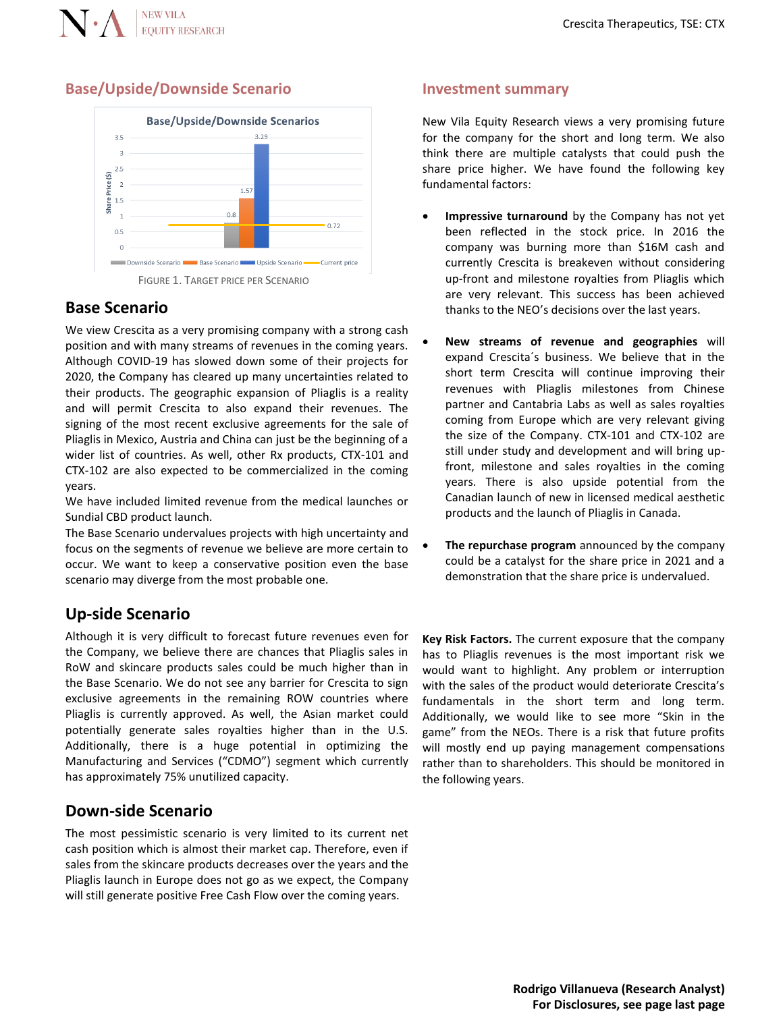

#### **Base/Upside/Downside Scenario**



#### **Base Scenario**

We view Crescita as a very promising company with a strong cash position and with many streams of revenues in the coming years. Although COVID-19 has slowed down some of their projects for 2020, the Company has cleared up many uncertainties related to their products. The geographic expansion of Pliaglis is a reality and will permit Crescita to also expand their revenues. The signing of the most recent exclusive agreements for the sale of Pliaglis in Mexico, Austria and China can just be the beginning of a wider list of countries. As well, other Rx products, CTX-101 and CTX-102 are also expected to be commercialized in the coming years.

We have included limited revenue from the medical launches or Sundial CBD product launch.

The Base Scenario undervalues projects with high uncertainty and focus on the segments of revenue we believe are more certain to occur. We want to keep a conservative position even the base scenario may diverge from the most probable one.

#### **Up-side Scenario**

Although it is very difficult to forecast future revenues even for the Company, we believe there are chances that Pliaglis sales in RoW and skincare products sales could be much higher than in the Base Scenario. We do not see any barrier for Crescita to sign exclusive agreements in the remaining ROW countries where Pliaglis is currently approved. As well, the Asian market could potentially generate sales royalties higher than in the U.S. Additionally, there is a huge potential in optimizing the Manufacturing and Services ("CDMO") segment which currently has approximately 75% unutilized capacity.

#### **Down-side Scenario**

The most pessimistic scenario is very limited to its current net cash position which is almost their market cap. Therefore, even if sales from the skincare products decreases over the years and the Pliaglis launch in Europe does not go as we expect, the Company will still generate positive Free Cash Flow over the coming years.

#### **Investment summary**

New Vila Equity Research views a very promising future for the company for the short and long term. We also think there are multiple catalysts that could push the share price higher. We have found the following key fundamental factors:

- **Impressive turnaround** by the Company has not yet been reflected in the stock price. In 2016 the company was burning more than \$16M cash and currently Crescita is breakeven without considering up-front and milestone royalties from Pliaglis which are very relevant. This success has been achieved thanks to the NEO's decisions over the last years.
- **New streams of revenue and geographies** will expand Crescita´s business. We believe that in the short term Crescita will continue improving their revenues with Pliaglis milestones from Chinese partner and Cantabria Labs as well as sales royalties coming from Europe which are very relevant giving the size of the Company. CTX-101 and CTX-102 are still under study and development and will bring upfront, milestone and sales royalties in the coming years. There is also upside potential from the Canadian launch of new in licensed medical aesthetic products and the launch of Pliaglis in Canada.
- **The repurchase program** announced by the company could be a catalyst for the share price in 2021 and a demonstration that the share price is undervalued.

**Key Risk Factors.** The current exposure that the company has to Pliaglis revenues is the most important risk we would want to highlight. Any problem or interruption with the sales of the product would deteriorate Crescita's fundamentals in the short term and long term. Additionally, we would like to see more "Skin in the game" from the NEOs. There is a risk that future profits will mostly end up paying management compensations rather than to shareholders. This should be monitored in the following years.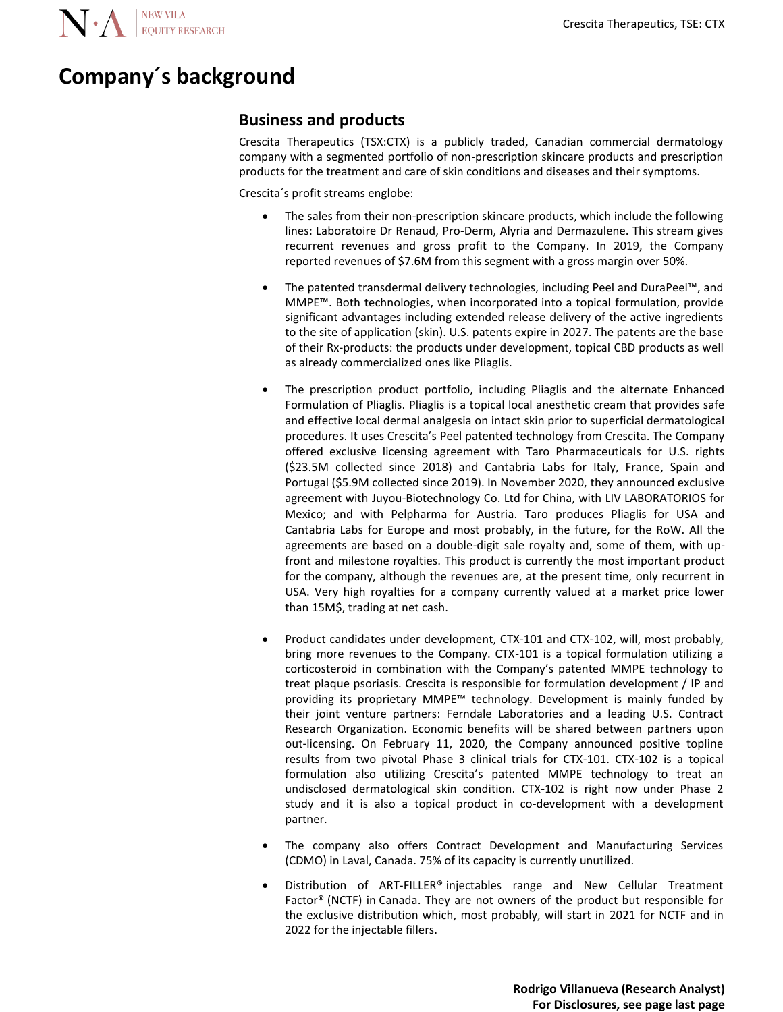N. A EQUITY RESEARCH

## **Company´s background**

#### **Business and products**

Crescita Therapeutics (TSX:CTX) is a publicly traded, Canadian commercial dermatology company with a segmented portfolio of non-prescription skincare products and prescription products for the treatment and care of skin conditions and diseases and their symptoms.

Crescita´s profit streams englobe:

- The sales from their non-prescription skincare products, which include the following lines: Laboratoire Dr Renaud, Pro-Derm, Alyria and Dermazulene. This stream gives recurrent revenues and gross profit to the Company. In 2019, the Company reported revenues of \$7.6M from this segment with a gross margin over 50%.
- The patented transdermal delivery technologies, including Peel and DuraPeel™, and MMPE™. Both technologies, when incorporated into a topical formulation, provide significant advantages including extended release delivery of the active ingredients to the site of application (skin). U.S. patents expire in 2027. The patents are the base of their Rx-products: the products under development, topical CBD products as well as already commercialized ones like Pliaglis.
- The prescription product portfolio, including Pliaglis and the alternate Enhanced Formulation of Pliaglis. Pliaglis is a topical local anesthetic cream that provides safe and effective local dermal analgesia on intact skin prior to superficial dermatological procedures. It uses Crescita's Peel patented technology from Crescita. The Company offered exclusive licensing agreement with Taro Pharmaceuticals for U.S. rights (\$23.5M collected since 2018) and Cantabria Labs for Italy, France, Spain and Portugal (\$5.9M collected since 2019). In November 2020, they announced exclusive agreement with Juyou-Biotechnology Co. Ltd for China, with LIV LABORATORIOS for Mexico; and with Pelpharma for Austria. Taro produces Pliaglis for USA and Cantabria Labs for Europe and most probably, in the future, for the RoW. All the agreements are based on a double-digit sale royalty and, some of them, with upfront and milestone royalties. This product is currently the most important product for the company, although the revenues are, at the present time, only recurrent in USA. Very high royalties for a company currently valued at a market price lower than 15M\$, trading at net cash.
- Product candidates under development, CTX-101 and CTX-102, will, most probably, bring more revenues to the Company. CTX-101 is a topical formulation utilizing a corticosteroid in combination with the Company's patented MMPE technology to treat plaque psoriasis. Crescita is responsible for formulation development / IP and providing its proprietary MMPE™ technology. Development is mainly funded by their joint venture partners: Ferndale Laboratories and a leading U.S. Contract Research Organization. Economic benefits will be shared between partners upon out-licensing. On February 11, 2020, the Company announced positive topline results from two pivotal Phase 3 clinical trials for CTX-101. CTX-102 is a topical formulation also utilizing Crescita's patented MMPE technology to treat an undisclosed dermatological skin condition. CTX-102 is right now under Phase 2 study and it is also a topical product in co-development with a development partner.
- The company also offers Contract Development and Manufacturing Services (CDMO) in Laval, Canada. 75% of its capacity is currently unutilized.
- Distribution of ART-FILLER® injectables range and New Cellular Treatment Factor® (NCTF) in Canada. They are not owners of the product but responsible for the exclusive distribution which, most probably, will start in 2021 for NCTF and in 2022 for the injectable fillers.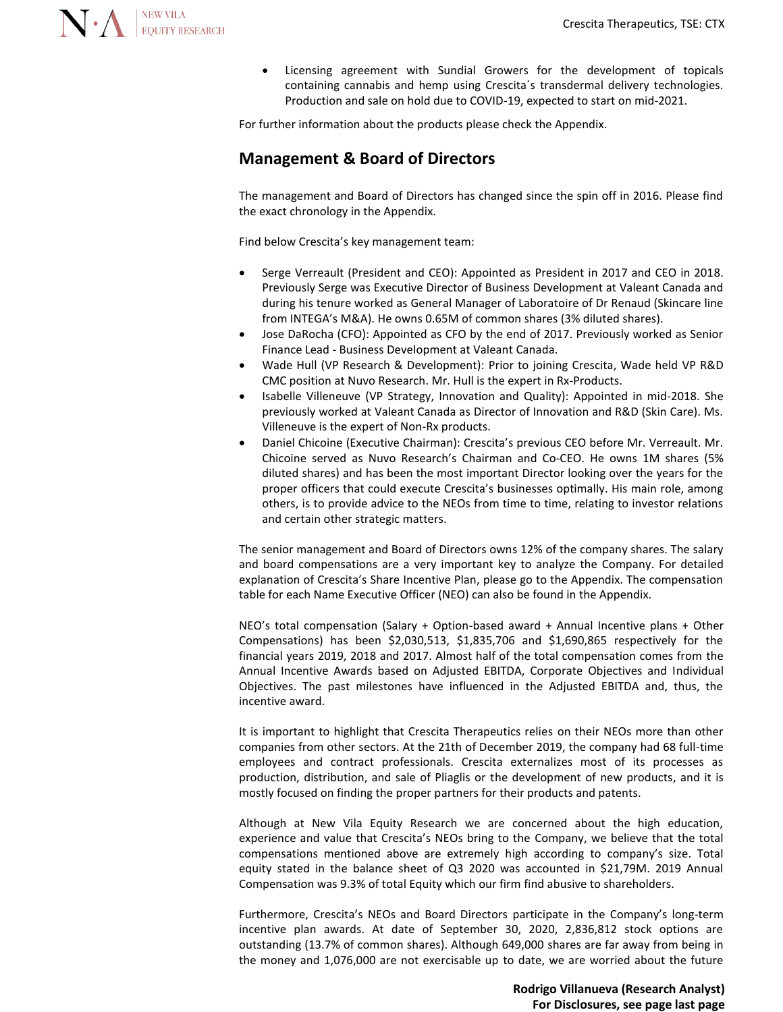

Licensing agreement with Sundial Growers for the development of topicals containing cannabis and hemp using Crescita´s transdermal delivery technologies. Production and sale on hold due to COVID-19, expected to start on mid-2021.

For further information about the products please check the Appendix.

#### **Management & Board of Directors**

The management and Board of Directors has changed since the spin off in 2016. Please find the exact chronology in the Appendix.

Find below Crescita's key management team:

- Serge Verreault (President and CEO): Appointed as President in 2017 and CEO in 2018. Previously Serge was Executive Director of Business Development at Valeant Canada and during his tenure worked as General Manager of Laboratoire of Dr Renaud (Skincare line from INTEGA's M&A). He owns 0.65M of common shares (3% diluted shares).
- Jose DaRocha (CFO): Appointed as CFO by the end of 2017. Previously worked as Senior Finance Lead - Business Development at Valeant Canada.
- Wade Hull (VP Research & Development): Prior to joining Crescita, Wade held VP R&D CMC position at Nuvo Research. Mr. Hull is the expert in Rx-Products.
- Isabelle Villeneuve (VP Strategy, Innovation and Quality): Appointed in mid-2018. She previously worked at Valeant Canada as Director of Innovation and R&D (Skin Care). Ms. Villeneuve is the expert of Non-Rx products.
- Daniel Chicoine (Executive Chairman): Crescita's previous CEO before Mr. Verreault. Mr. Chicoine served as Nuvo Research's Chairman and Co-CEO. He owns 1M shares (5% diluted shares) and has been the most important Director looking over the years for the proper officers that could execute Crescita's businesses optimally. His main role, among others, is to provide advice to the NEOs from time to time, relating to investor relations and certain other strategic matters.

The senior management and Board of Directors owns 12% of the company shares. The salary and board compensations are a very important key to analyze the Company. For detailed explanation of Crescita's Share Incentive Plan, please go to the Appendix. The compensation table for each Name Executive Officer (NEO) can also be found in the Appendix.

NEO's total compensation (Salary + Option-based award + Annual Incentive plans + Other Compensations) has been \$2,030,513, \$1,835,706 and \$1,690,865 respectively for the financial years 2019, 2018 and 2017. Almost half of the total compensation comes from the Annual Incentive Awards based on Adjusted EBITDA, Corporate Objectives and Individual Objectives. The past milestones have influenced in the Adjusted EBITDA and, thus, the incentive award.

It is important to highlight that Crescita Therapeutics relies on their NEOs more than other companies from other sectors. At the 21th of December 2019, the company had 68 full-time employees and contract professionals. Crescita externalizes most of its processes as production, distribution, and sale of Pliaglis or the development of new products, and it is mostly focused on finding the proper partners for their products and patents.

Although at New Vila Equity Research we are concerned about the high education, experience and value that Crescita's NEOs bring to the Company, we believe that the total compensations mentioned above are extremely high according to company's size. Total equity stated in the balance sheet of Q3 2020 was accounted in \$21,79M. 2019 Annual Compensation was 9.3% of total Equity which our firm find abusive to shareholders.

Furthermore, Crescita's NEOs and Board Directors participate in the Company's long-term incentive plan awards. At date of September 30, 2020, 2,836,812 stock options are outstanding (13.7% of common shares). Although 649,000 shares are far away from being in the money and 1,076,000 are not exercisable up to date, we are worried about the future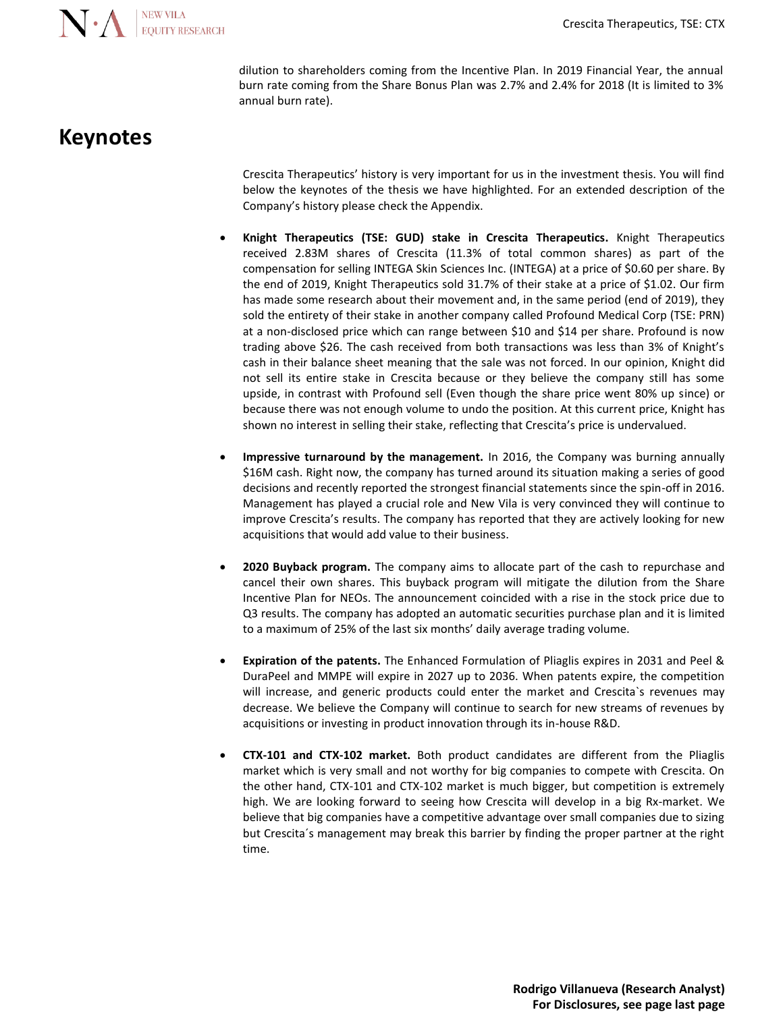

dilution to shareholders coming from the Incentive Plan. In 2019 Financial Year, the annual burn rate coming from the Share Bonus Plan was 2.7% and 2.4% for 2018 (It is limited to 3% annual burn rate).

## **Keynotes**

Crescita Therapeutics' history is very important for us in the investment thesis. You will find below the keynotes of the thesis we have highlighted. For an extended description of the Company's history please check the Appendix.

- **Knight Therapeutics (TSE: GUD) stake in Crescita Therapeutics.** Knight Therapeutics received 2.83M shares of Crescita (11.3% of total common shares) as part of the compensation for selling INTEGA Skin Sciences Inc. (INTEGA) at a price of \$0.60 per share. By the end of 2019, Knight Therapeutics sold 31.7% of their stake at a price of \$1.02. Our firm has made some research about their movement and, in the same period (end of 2019), they sold the entirety of their stake in another company called Profound Medical Corp (TSE: PRN) at a non-disclosed price which can range between \$10 and \$14 per share. Profound is now trading above \$26. The cash received from both transactions was less than 3% of Knight's cash in their balance sheet meaning that the sale was not forced. In our opinion, Knight did not sell its entire stake in Crescita because or they believe the company still has some upside, in contrast with Profound sell (Even though the share price went 80% up since) or because there was not enough volume to undo the position. At this current price, Knight has shown no interest in selling their stake, reflecting that Crescita's price is undervalued.
- **Impressive turnaround by the management.** In 2016, the Company was burning annually \$16M cash. Right now, the company has turned around its situation making a series of good decisions and recently reported the strongest financial statements since the spin-off in 2016. Management has played a crucial role and New Vila is very convinced they will continue to improve Crescita's results. The company has reported that they are actively looking for new acquisitions that would add value to their business.
- **2020 Buyback program.** The company aims to allocate part of the cash to repurchase and cancel their own shares. This buyback program will mitigate the dilution from the Share Incentive Plan for NEOs. The announcement coincided with a rise in the stock price due to Q3 results. The company has adopted an automatic securities purchase plan and it is limited to a maximum of 25% of the last six months' daily average trading volume.
- **Expiration of the patents.** The Enhanced Formulation of Pliaglis expires in 2031 and Peel & DuraPeel and MMPE will expire in 2027 up to 2036. When patents expire, the competition will increase, and generic products could enter the market and Crescita`s revenues may decrease. We believe the Company will continue to search for new streams of revenues by acquisitions or investing in product innovation through its in-house R&D.
- **CTX-101 and CTX-102 market.** Both product candidates are different from the Pliaglis market which is very small and not worthy for big companies to compete with Crescita. On the other hand, CTX-101 and CTX-102 market is much bigger, but competition is extremely high. We are looking forward to seeing how Crescita will develop in a big Rx-market. We believe that big companies have a competitive advantage over small companies due to sizing but Crescita´s management may break this barrier by finding the proper partner at the right time.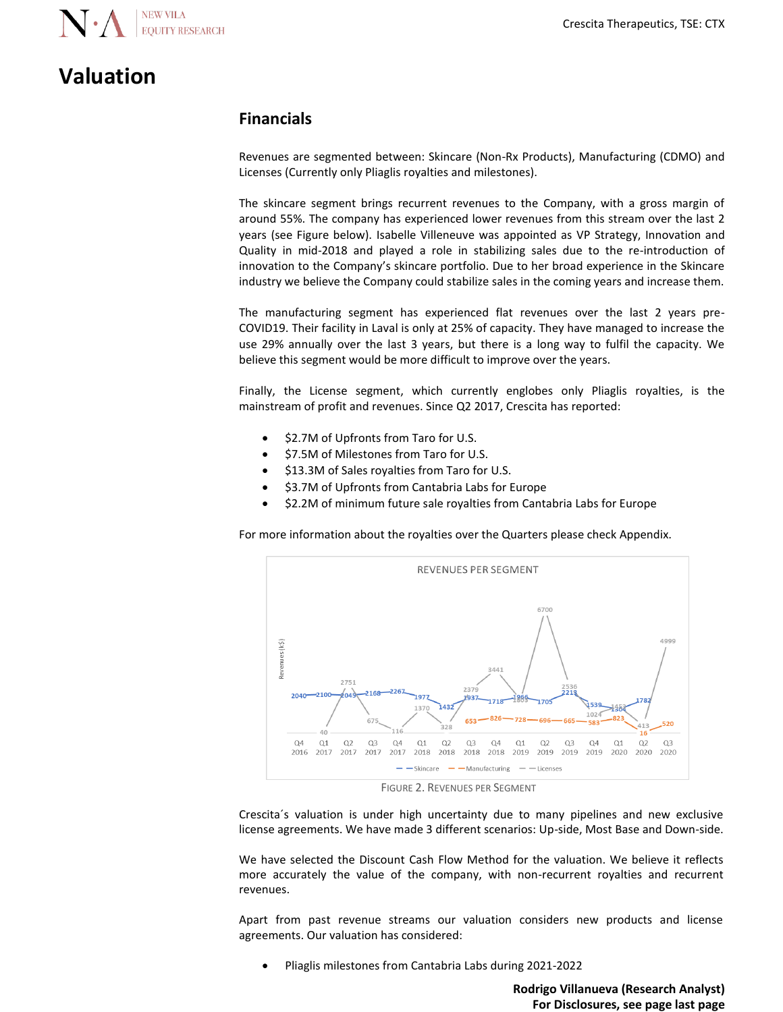

## **Valuation**

### **Financials**

Revenues are segmented between: Skincare (Non-Rx Products), Manufacturing (CDMO) and Licenses (Currently only Pliaglis royalties and milestones).

The skincare segment brings recurrent revenues to the Company, with a gross margin of around 55%. The company has experienced lower revenues from this stream over the last 2 years (see Figure below). Isabelle Villeneuve was appointed as VP Strategy, Innovation and Quality in mid-2018 and played a role in stabilizing sales due to the re-introduction of innovation to the Company's skincare portfolio. Due to her broad experience in the Skincare industry we believe the Company could stabilize sales in the coming years and increase them.

The manufacturing segment has experienced flat revenues over the last 2 years pre-COVID19. Their facility in Laval is only at 25% of capacity. They have managed to increase the use 29% annually over the last 3 years, but there is a long way to fulfil the capacity. We believe this segment would be more difficult to improve over the years.

Finally, the License segment, which currently englobes only Pliaglis royalties, is the mainstream of profit and revenues. Since Q2 2017, Crescita has reported:

- \$2.7M of Upfronts from Taro for U.S.
- \$7.5M of Milestones from Taro for U.S.
- \$13.3M of Sales royalties from Taro for U.S.
- \$3.7M of Upfronts from Cantabria Labs for Europe
- \$2.2M of minimum future sale royalties from Cantabria Labs for Europe

For more information about the royalties over the Quarters please check Appendix.



FIGURE 2. REVENUES PER SEGMENT

Crescita´s valuation is under high uncertainty due to many pipelines and new exclusive license agreements. We have made 3 different scenarios: Up-side, Most Base and Down-side.

We have selected the Discount Cash Flow Method for the valuation. We believe it reflects more accurately the value of the company, with non-recurrent royalties and recurrent revenues.

Apart from past revenue streams our valuation considers new products and license agreements. Our valuation has considered:

• Pliaglis milestones from Cantabria Labs during 2021-2022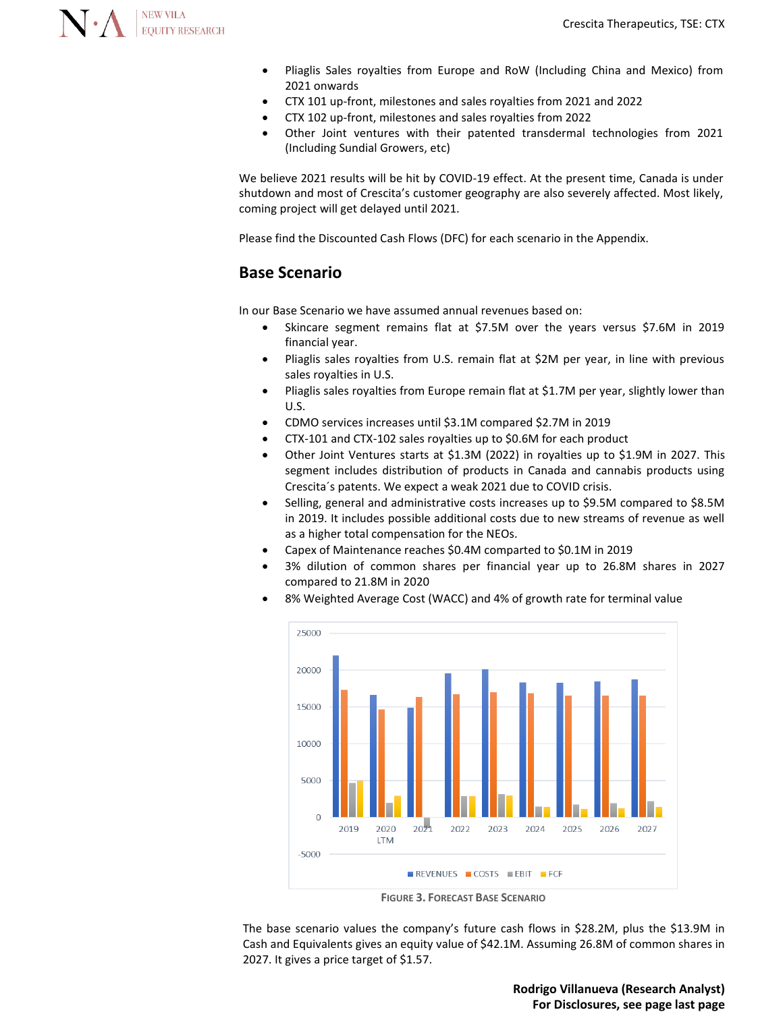

- Pliaglis Sales royalties from Europe and RoW (Including China and Mexico) from 2021 onwards
- CTX 101 up-front, milestones and sales royalties from 2021 and 2022
- CTX 102 up-front, milestones and sales royalties from 2022
- Other Joint ventures with their patented transdermal technologies from 2021 (Including Sundial Growers, etc)

We believe 2021 results will be hit by COVID-19 effect. At the present time, Canada is under shutdown and most of Crescita's customer geography are also severely affected. Most likely, coming project will get delayed until 2021.

Please find the Discounted Cash Flows (DFC) for each scenario in the Appendix.

#### **Base Scenario**

In our Base Scenario we have assumed annual revenues based on:

- Skincare segment remains flat at \$7.5M over the years versus \$7.6M in 2019 financial year.
- Pliaglis sales royalties from U.S. remain flat at \$2M per year, in line with previous sales royalties in U.S.
- Pliaglis sales royalties from Europe remain flat at \$1.7M per year, slightly lower than U.S.
- CDMO services increases until \$3.1M compared \$2.7M in 2019
- CTX-101 and CTX-102 sales royalties up to \$0.6M for each product
- Other Joint Ventures starts at \$1.3M (2022) in royalties up to \$1.9M in 2027. This segment includes distribution of products in Canada and cannabis products using Crescita´s patents. We expect a weak 2021 due to COVID crisis.
- Selling, general and administrative costs increases up to \$9.5M compared to \$8.5M in 2019. It includes possible additional costs due to new streams of revenue as well as a higher total compensation for the NEOs.
- Capex of Maintenance reaches \$0.4M comparted to \$0.1M in 2019
- 3% dilution of common shares per financial year up to 26.8M shares in 2027 compared to 21.8M in 2020



• 8% Weighted Average Cost (WACC) and 4% of growth rate for terminal value

**FIGURE 3. FORECAST BASE SCENARIO**

The base scenario values the company's future cash flows in \$28.2M, plus the \$13.9M in Cash and Equivalents gives an equity value of \$42.1M. Assuming 26.8M of common shares in 2027. It gives a price target of \$1.57.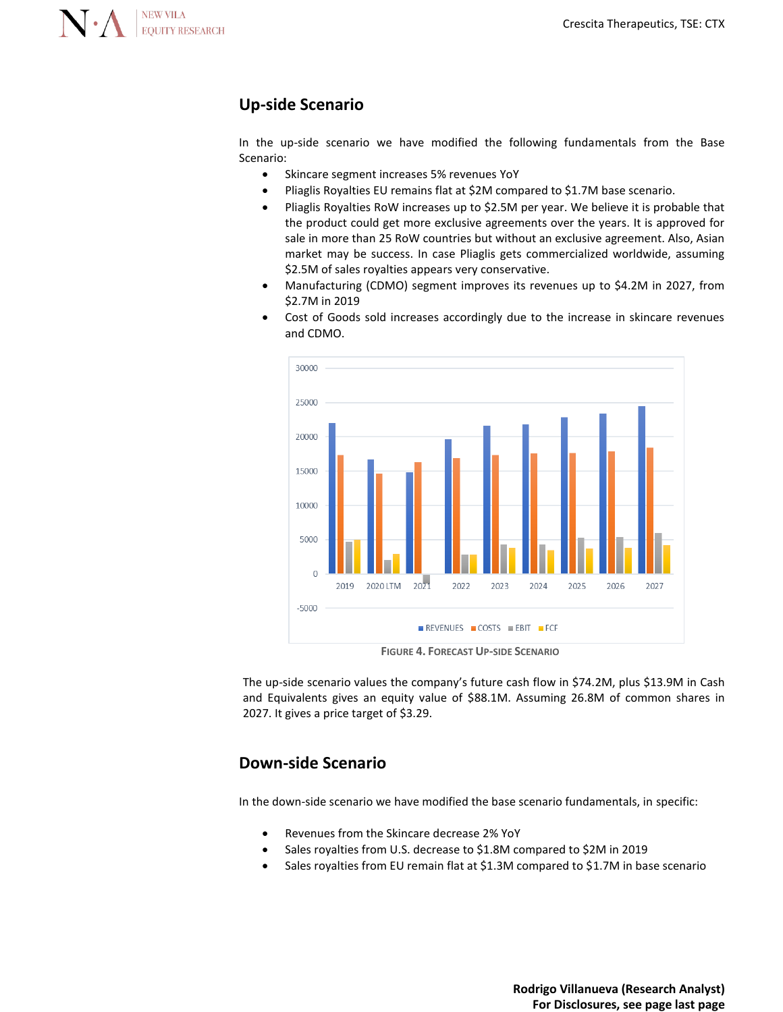

### **Up-side Scenario**

In the up-side scenario we have modified the following fundamentals from the Base Scenario:

- Skincare segment increases 5% revenues YoY
- Pliaglis Royalties EU remains flat at \$2M compared to \$1.7M base scenario.
- Pliaglis Royalties RoW increases up to \$2.5M per year. We believe it is probable that the product could get more exclusive agreements over the years. It is approved for sale in more than 25 RoW countries but without an exclusive agreement. Also, Asian market may be success. In case Pliaglis gets commercialized worldwide, assuming \$2.5M of sales royalties appears very conservative.
- Manufacturing (CDMO) segment improves its revenues up to \$4.2M in 2027, from \$2.7M in 2019
- Cost of Goods sold increases accordingly due to the increase in skincare revenues and CDMO.



**FIGURE 4. FORECAST UP-SIDE SCENARIO**

The up-side scenario values the company's future cash flow in \$74.2M, plus \$13.9M in Cash and Equivalents gives an equity value of \$88.1M. Assuming 26.8M of common shares in 2027. It gives a price target of \$3.29.

#### **Down-side Scenario**

In the down-side scenario we have modified the base scenario fundamentals, in specific:

- Revenues from the Skincare decrease 2% YoY
- Sales royalties from U.S. decrease to \$1.8M compared to \$2M in 2019
- Sales royalties from EU remain flat at \$1.3M compared to \$1.7M in base scenario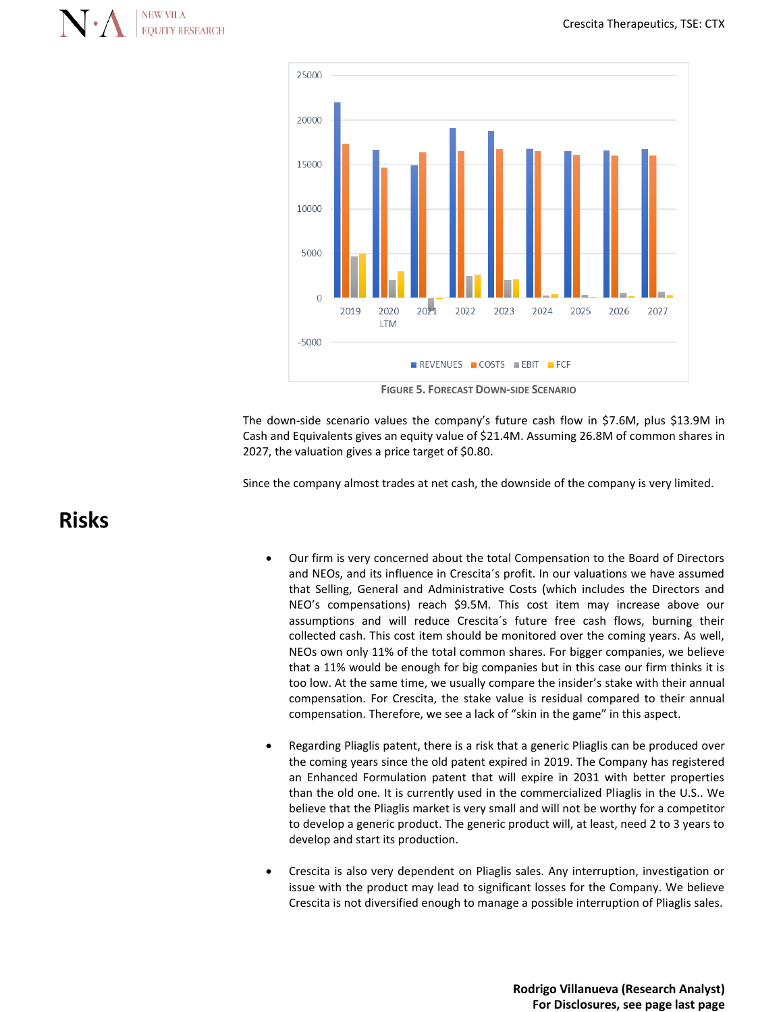



**FIGURE 5. FORECAST DOWN-SIDE SCENARIO**

The down-side scenario values the company's future cash flow in \$7.6M, plus \$13.9M in Cash and Equivalents gives an equity value of \$21.4M. Assuming 26.8M of common shares in 2027, the valuation gives a price target of \$0.80.

Since the company almost trades at net cash, the downside of the company is very limited.

## **Risks**

- Our firm is very concerned about the total Compensation to the Board of Directors and NEOs, and its influence in Crescita´s profit. In our valuations we have assumed that Selling, General and Administrative Costs (which includes the Directors and NEO's compensations) reach \$9.5M. This cost item may increase above our assumptions and will reduce Crescita´s future free cash flows, burning their collected cash. This cost item should be monitored over the coming years. As well, NEOs own only 11% of the total common shares. For bigger companies, we believe that a 11% would be enough for big companies but in this case our firm thinks it is too low. At the same time, we usually compare the insider's stake with their annual compensation. For Crescita, the stake value is residual compared to their annual compensation. Therefore, we see a lack of "skin in the game" in this aspect.
- Regarding Pliaglis patent, there is a risk that a generic Pliaglis can be produced over the coming years since the old patent expired in 2019. The Company has registered an Enhanced Formulation patent that will expire in 2031 with better properties than the old one. It is currently used in the commercialized Pliaglis in the U.S.. We believe that the Pliaglis market is very small and will not be worthy for a competitor to develop a generic product. The generic product will, at least, need 2 to 3 years to develop and start its production.
- Crescita is also very dependent on Pliaglis sales. Any interruption, investigation or issue with the product may lead to significant losses for the Company. We believe Crescita is not diversified enough to manage a possible interruption of Pliaglis sales.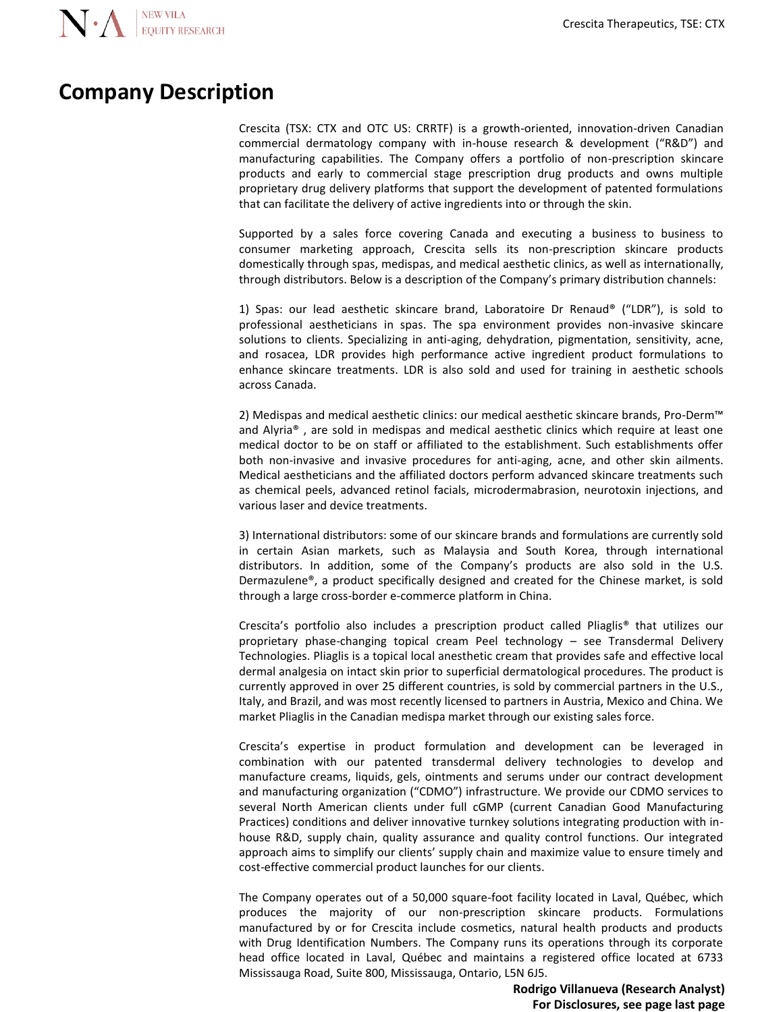## **Company Description**

Crescita (TSX: CTX and OTC US: CRRTF) is a growth-oriented, innovation-driven Canadian commercial dermatology company with in-house research & development ("R&D") and manufacturing capabilities. The Company offers a portfolio of non-prescription skincare products and early to commercial stage prescription drug products and owns multiple proprietary drug delivery platforms that support the development of patented formulations that can facilitate the delivery of active ingredients into or through the skin.

Supported by a sales force covering Canada and executing a business to business to consumer marketing approach, Crescita sells its non-prescription skincare products domestically through spas, medispas, and medical aesthetic clinics, as well as internationally, through distributors. Below is a description of the Company's primary distribution channels:

1) Spas: our lead aesthetic skincare brand, Laboratoire Dr Renaud® ("LDR"), is sold to professional aestheticians in spas. The spa environment provides non-invasive skincare solutions to clients. Specializing in anti-aging, dehydration, pigmentation, sensitivity, acne, and rosacea, LDR provides high performance active ingredient product formulations to enhance skincare treatments. LDR is also sold and used for training in aesthetic schools across Canada.

2) Medispas and medical aesthetic clinics: our medical aesthetic skincare brands, Pro-Derm™ and Alyria® , are sold in medispas and medical aesthetic clinics which require at least one medical doctor to be on staff or affiliated to the establishment. Such establishments offer both non-invasive and invasive procedures for anti-aging, acne, and other skin ailments. Medical aestheticians and the affiliated doctors perform advanced skincare treatments such as chemical peels, advanced retinol facials, microdermabrasion, neurotoxin injections, and various laser and device treatments.

3) International distributors: some of our skincare brands and formulations are currently sold in certain Asian markets, such as Malaysia and South Korea, through international distributors. In addition, some of the Company's products are also sold in the U.S. Dermazulene®, a product specifically designed and created for the Chinese market, is sold through a large cross-border e-commerce platform in China.

Crescita's portfolio also includes a prescription product called Pliaglis® that utilizes our proprietary phase-changing topical cream Peel technology – see Transdermal Delivery Technologies. Pliaglis is a topical local anesthetic cream that provides safe and effective local dermal analgesia on intact skin prior to superficial dermatological procedures. The product is currently approved in over 25 different countries, is sold by commercial partners in the U.S., Italy, and Brazil, and was most recently licensed to partners in Austria, Mexico and China. We market Pliaglis in the Canadian medispa market through our existing sales force.

Crescita's expertise in product formulation and development can be leveraged in combination with our patented transdermal delivery technologies to develop and manufacture creams, liquids, gels, ointments and serums under our contract development and manufacturing organization ("CDMO") infrastructure. We provide our CDMO services to several North American clients under full cGMP (current Canadian Good Manufacturing Practices) conditions and deliver innovative turnkey solutions integrating production with inhouse R&D, supply chain, quality assurance and quality control functions. Our integrated approach aims to simplify our clients' supply chain and maximize value to ensure timely and cost-effective commercial product launches for our clients.

The Company operates out of a 50,000 square-foot facility located in Laval, Québec, which produces the majority of our non-prescription skincare products. Formulations manufactured by or for Crescita include cosmetics, natural health products and products with Drug Identification Numbers. The Company runs its operations through its corporate head office located in Laval, Québec and maintains a registered office located at 6733 Mississauga Road, Suite 800, Mississauga, Ontario, L5N 6J5.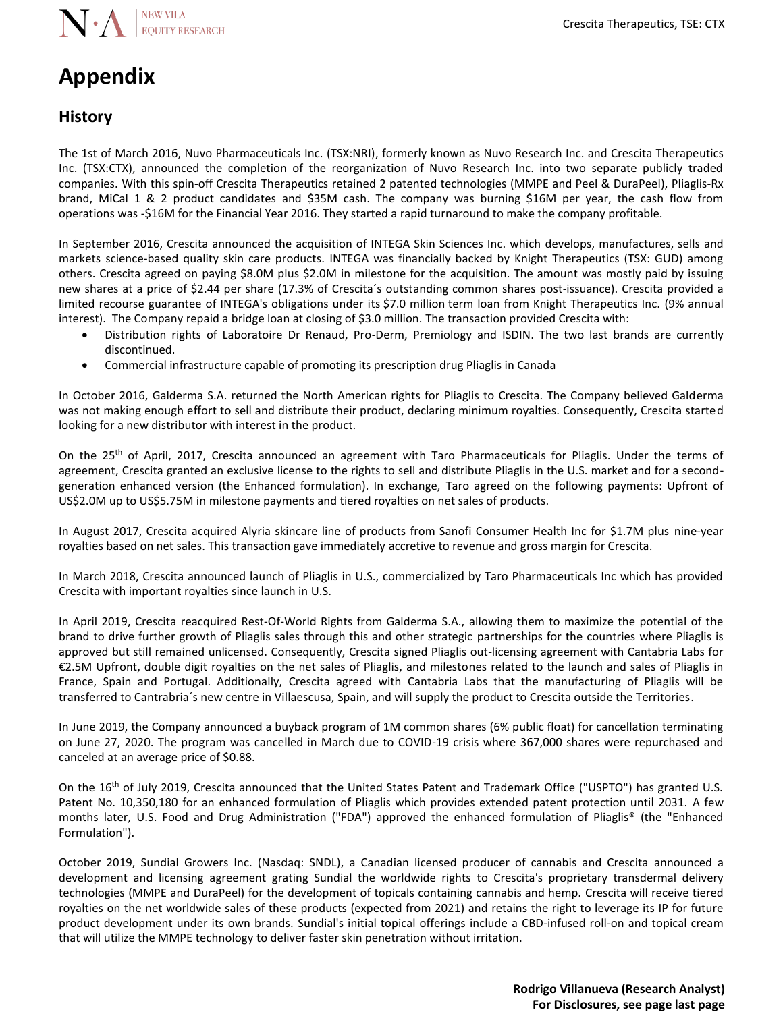# **Appendix**

#### **History**

The 1st of March 2016, Nuvo Pharmaceuticals Inc. (TSX:NRI), formerly known as Nuvo Research Inc. and Crescita Therapeutics Inc. (TSX:CTX), announced the completion of the reorganization of Nuvo Research Inc. into two separate publicly traded companies. With this spin-off Crescita Therapeutics retained 2 patented technologies (MMPE and Peel & DuraPeel), Pliaglis-Rx brand, MiCal 1 & 2 product candidates and \$35M cash. The company was burning \$16M per year, the cash flow from operations was -\$16M for the Financial Year 2016. They started a rapid turnaround to make the company profitable.

In September 2016, Crescita announced the acquisition of INTEGA Skin Sciences Inc. which develops, manufactures, sells and markets science-based quality skin care products. INTEGA was financially backed by Knight Therapeutics (TSX: GUD) among others. Crescita agreed on paying \$8.0M plus \$2.0M in milestone for the acquisition. The amount was mostly paid by issuing new shares at a price of \$2.44 per share (17.3% of Crescita´s outstanding common shares post-issuance). Crescita provided a limited recourse guarantee of INTEGA's obligations under its \$7.0 million term loan from Knight Therapeutics Inc. (9% annual interest). The Company repaid a bridge loan at closing of \$3.0 million. The transaction provided Crescita with:

- Distribution rights of Laboratoire Dr Renaud, Pro-Derm, Premiology and ISDIN. The two last brands are currently discontinued.
- Commercial infrastructure capable of promoting its prescription drug Pliaglis in Canada

In October 2016, Galderma S.A. returned the North American rights for Pliaglis to Crescita. The Company believed Galderma was not making enough effort to sell and distribute their product, declaring minimum royalties. Consequently, Crescita started looking for a new distributor with interest in the product.

On the 25<sup>th</sup> of April, 2017, Crescita announced an agreement with Taro Pharmaceuticals for Pliaglis. Under the terms of agreement, Crescita granted an exclusive license to the rights to sell and distribute Pliaglis in the U.S. market and for a secondgeneration enhanced version (the Enhanced formulation). In exchange, Taro agreed on the following payments: Upfront of US\$2.0M up to US\$5.75M in milestone payments and tiered royalties on net sales of products.

In August 2017, Crescita acquired Alyria skincare line of products from Sanofi Consumer Health Inc for \$1.7M plus nine-year royalties based on net sales. This transaction gave immediately accretive to revenue and gross margin for Crescita.

In March 2018, Crescita announced launch of Pliaglis in U.S., commercialized by Taro Pharmaceuticals Inc which has provided Crescita with important royalties since launch in U.S.

In April 2019, Crescita reacquired Rest-Of-World Rights from Galderma S.A., allowing them to maximize the potential of the brand to drive further growth of Pliaglis sales through this and other strategic partnerships for the countries where Pliaglis is approved but still remained unlicensed. Consequently, Crescita signed Pliaglis out-licensing agreement with Cantabria Labs for €2.5M Upfront, double digit royalties on the net sales of Pliaglis, and milestones related to the launch and sales of Pliaglis in France, Spain and Portugal. Additionally, Crescita agreed with Cantabria Labs that the manufacturing of Pliaglis will be transferred to Cantrabria´s new centre in Villaescusa, Spain, and will supply the product to Crescita outside the Territories.

In June 2019, the Company announced a buyback program of 1M common shares (6% public float) for cancellation terminating on June 27, 2020. The program was cancelled in March due to COVID-19 crisis where 367,000 shares were repurchased and canceled at an average price of \$0.88.

On the 16<sup>th</sup> of July 2019, Crescita announced that the United States Patent and Trademark Office ("USPTO") has granted U.S. Patent No. 10,350,180 for an enhanced formulation of Pliaglis which provides extended patent protection until 2031. A few months later, U.S. Food and Drug Administration ("FDA") approved the enhanced formulation of Pliaglis® (the "Enhanced Formulation").

October 2019, Sundial Growers Inc. (Nasdaq: SNDL), a Canadian licensed producer of cannabis and Crescita announced a development and licensing agreement grating Sundial the worldwide rights to Crescita's proprietary transdermal delivery technologies (MMPE and DuraPeel) for the development of topicals containing cannabis and hemp. Crescita will receive tiered royalties on the net worldwide sales of these products (expected from 2021) and retains the right to leverage its IP for future product development under its own brands. Sundial's initial topical offerings include a CBD-infused roll-on and topical cream that will utilize the MMPE technology to deliver faster skin penetration without irritation.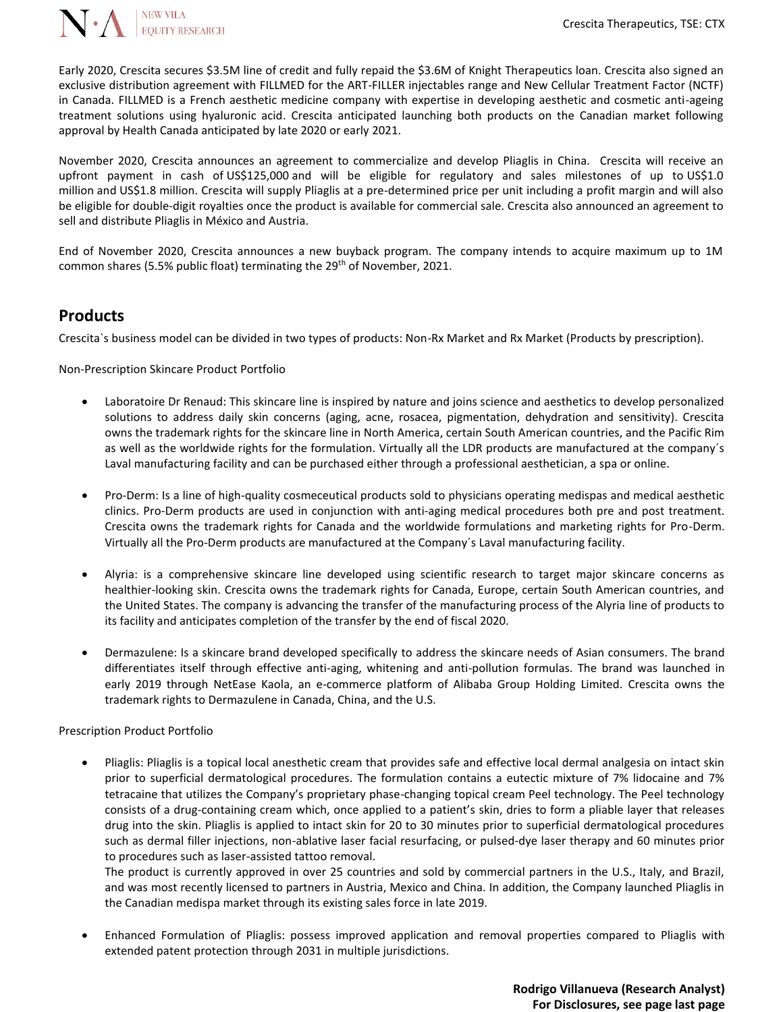

Early 2020, Crescita secures \$3.5M line of credit and fully repaid the \$3.6M of Knight Therapeutics loan. Crescita also signed an exclusive distribution agreement with FILLMED for the ART-FILLER injectables range and New Cellular Treatment Factor (NCTF) in Canada. FILLMED is a French aesthetic medicine company with expertise in developing aesthetic and cosmetic anti-ageing treatment solutions using hyaluronic acid. Crescita anticipated launching both products on the Canadian market following approval by Health Canada anticipated by late 2020 or early 2021.

November 2020, Crescita announces an agreement to commercialize and develop Pliaglis in China. Crescita will receive an upfront payment in cash of US\$125,000 and will be eligible for regulatory and sales milestones of up to US\$1.0 million and US\$1.8 million. Crescita will supply Pliaglis at a pre-determined price per unit including a profit margin and will also be eligible for double-digit royalties once the product is available for commercial sale. Crescita also announced an agreement to sell and distribute Pliaglis in México and Austria.

End of November 2020, Crescita announces a new buyback program. The company intends to acquire maximum up to 1M common shares (5.5% public float) terminating the 29<sup>th</sup> of November, 2021.

#### **Products**

Crescita`s business model can be divided in two types of products: Non-Rx Market and Rx Market (Products by prescription).

Non-Prescription Skincare Product Portfolio

- Laboratoire Dr Renaud: This skincare line is inspired by nature and joins science and aesthetics to develop personalized solutions to address daily skin concerns (aging, acne, rosacea, pigmentation, dehydration and sensitivity). Crescita owns the trademark rights for the skincare line in North America, certain South American countries, and the Pacific Rim as well as the worldwide rights for the formulation. Virtually all the LDR products are manufactured at the company´s Laval manufacturing facility and can be purchased either through a professional aesthetician, a spa or online.
- Pro-Derm: Is a line of high-quality cosmeceutical products sold to physicians operating medispas and medical aesthetic clinics. Pro-Derm products are used in conjunction with anti-aging medical procedures both pre and post treatment. Crescita owns the trademark rights for Canada and the worldwide formulations and marketing rights for Pro-Derm. Virtually all the Pro-Derm products are manufactured at the Company´s Laval manufacturing facility.
- Alyria: is a comprehensive skincare line developed using scientific research to target major skincare concerns as healthier-looking skin. Crescita owns the trademark rights for Canada, Europe, certain South American countries, and the United States. The company is advancing the transfer of the manufacturing process of the Alyria line of products to its facility and anticipates completion of the transfer by the end of fiscal 2020.
- Dermazulene: Is a skincare brand developed specifically to address the skincare needs of Asian consumers. The brand differentiates itself through effective anti-aging, whitening and anti-pollution formulas. The brand was launched in early 2019 through NetEase Kaola, an e-commerce platform of Alibaba Group Holding Limited. Crescita owns the trademark rights to Dermazulene in Canada, China, and the U.S.

#### Prescription Product Portfolio

• Pliaglis: Pliaglis is a topical local anesthetic cream that provides safe and effective local dermal analgesia on intact skin prior to superficial dermatological procedures. The formulation contains a eutectic mixture of 7% lidocaine and 7% tetracaine that utilizes the Company's proprietary phase-changing topical cream Peel technology. The Peel technology consists of a drug-containing cream which, once applied to a patient's skin, dries to form a pliable layer that releases drug into the skin. Pliaglis is applied to intact skin for 20 to 30 minutes prior to superficial dermatological procedures such as dermal filler injections, non-ablative laser facial resurfacing, or pulsed-dye laser therapy and 60 minutes prior to procedures such as laser-assisted tattoo removal.

The product is currently approved in over 25 countries and sold by commercial partners in the U.S., Italy, and Brazil, and was most recently licensed to partners in Austria, Mexico and China. In addition, the Company launched Pliaglis in the Canadian medispa market through its existing sales force in late 2019.

• Enhanced Formulation of Pliaglis: possess improved application and removal properties compared to Pliaglis with extended patent protection through 2031 in multiple jurisdictions.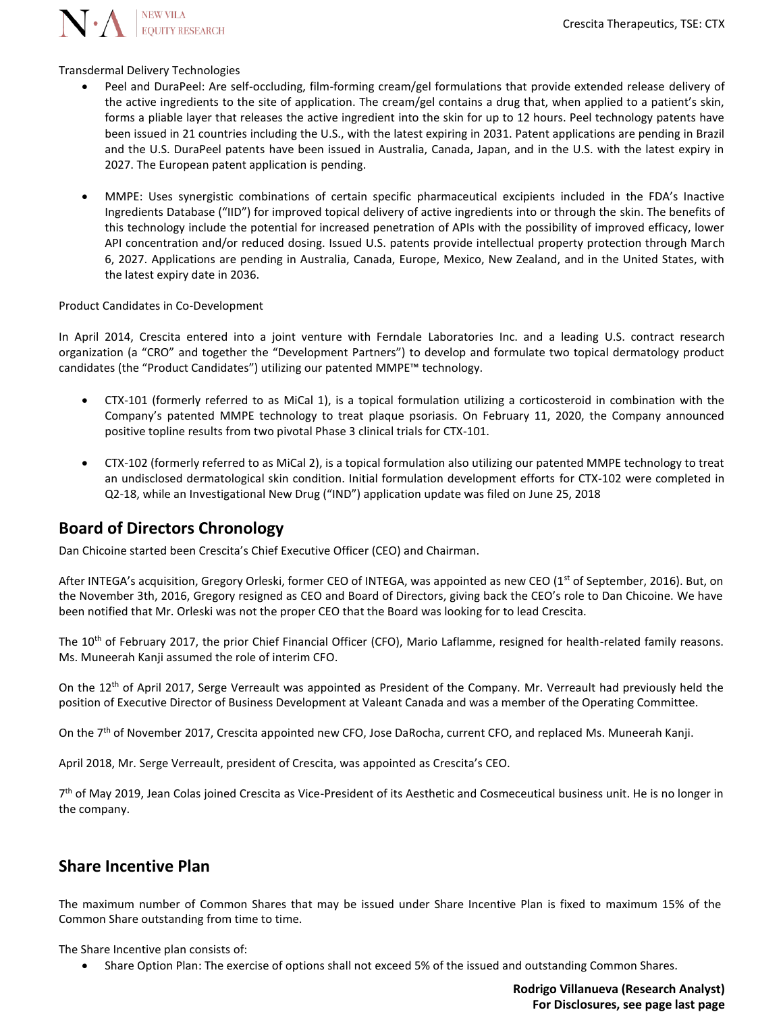N. NEW VILA

Transdermal Delivery Technologies

- Peel and DuraPeel: Are self-occluding, film-forming cream/gel formulations that provide extended release delivery of the active ingredients to the site of application. The cream/gel contains a drug that, when applied to a patient's skin, forms a pliable layer that releases the active ingredient into the skin for up to 12 hours. Peel technology patents have been issued in 21 countries including the U.S., with the latest expiring in 2031. Patent applications are pending in Brazil and the U.S. DuraPeel patents have been issued in Australia, Canada, Japan, and in the U.S. with the latest expiry in 2027. The European patent application is pending.
- MMPE: Uses synergistic combinations of certain specific pharmaceutical excipients included in the FDA's Inactive Ingredients Database ("IID") for improved topical delivery of active ingredients into or through the skin. The benefits of this technology include the potential for increased penetration of APIs with the possibility of improved efficacy, lower API concentration and/or reduced dosing. Issued U.S. patents provide intellectual property protection through March 6, 2027. Applications are pending in Australia, Canada, Europe, Mexico, New Zealand, and in the United States, with the latest expiry date in 2036.

Product Candidates in Co-Development

In April 2014, Crescita entered into a joint venture with Ferndale Laboratories Inc. and a leading U.S. contract research organization (a "CRO" and together the "Development Partners") to develop and formulate two topical dermatology product candidates (the "Product Candidates") utilizing our patented MMPE™ technology.

- CTX-101 (formerly referred to as MiCal 1), is a topical formulation utilizing a corticosteroid in combination with the Company's patented MMPE technology to treat plaque psoriasis. On February 11, 2020, the Company announced positive topline results from two pivotal Phase 3 clinical trials for CTX-101.
- CTX-102 (formerly referred to as MiCal 2), is a topical formulation also utilizing our patented MMPE technology to treat an undisclosed dermatological skin condition. Initial formulation development efforts for CTX-102 were completed in Q2-18, while an Investigational New Drug ("IND") application update was filed on June 25, 2018

#### **Board of Directors Chronology**

Dan Chicoine started been Crescita's Chief Executive Officer (CEO) and Chairman.

After INTEGA's acquisition, Gregory Orleski, former CEO of INTEGA, was appointed as new CEO (1<sup>st</sup> of September, 2016). But, on the November 3th, 2016, Gregory resigned as CEO and Board of Directors, giving back the CEO's role to Dan Chicoine. We have been notified that Mr. Orleski was not the proper CEO that the Board was looking for to lead Crescita.

The  $10^{th}$  of February 2017, the prior Chief Financial Officer (CFO), Mario Laflamme, resigned for health-related family reasons. Ms. Muneerah Kanji assumed the role of interim CFO.

On the 12<sup>th</sup> of April 2017, Serge Verreault was appointed as President of the Company. Mr. Verreault had previously held the position of Executive Director of Business Development at Valeant Canada and was a member of the Operating Committee.

On the 7<sup>th</sup> of November 2017, Crescita appointed new CFO, Jose DaRocha, current CFO, and replaced Ms. Muneerah Kanji.

April 2018, Mr. Serge Verreault, president of Crescita, was appointed as Crescita's CEO.

7<sup>th</sup> of May 2019, Jean Colas joined Crescita as Vice-President of its Aesthetic and Cosmeceutical business unit. He is no longer in the company.

#### **Share Incentive Plan**

The maximum number of Common Shares that may be issued under Share Incentive Plan is fixed to maximum 15% of the Common Share outstanding from time to time.

The Share Incentive plan consists of:

• Share Option Plan: The exercise of options shall not exceed 5% of the issued and outstanding Common Shares.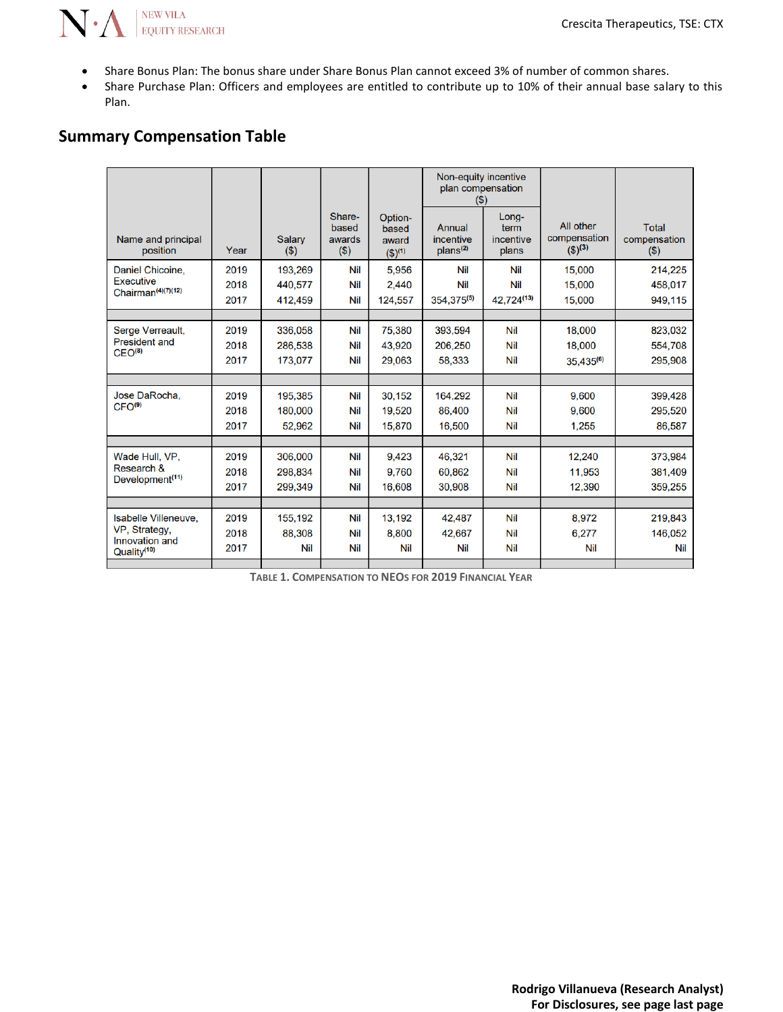

- Share Bonus Plan: The bonus share under Share Bonus Plan cannot exceed 3% of number of common shares.
- Share Purchase Plan: Officers and employees are entitled to contribute up to 10% of their annual base salary to this Plan.

### **Summary Compensation Table**

|                                                    |      |                      |                                      |                                     | Non-equity incentive<br>plan compensation<br>$($ \$) |                                     |                                          |                                        |
|----------------------------------------------------|------|----------------------|--------------------------------------|-------------------------------------|------------------------------------------------------|-------------------------------------|------------------------------------------|----------------------------------------|
| Name and principal<br>position                     | Year | <b>Salary</b><br>(3) | Share-<br>based<br>awards<br>$($ \$) | Option-<br>based<br>award<br>(2)(1) | Annual<br>incentive<br>plans <sup>(2)</sup>          | Long-<br>term<br>incentive<br>plans | All other<br>compensation<br>$(5)^{(3)}$ | <b>Total</b><br>compensation<br>$(\$)$ |
| Daniel Chicoine.                                   | 2019 | 193,269              | Nil                                  | 5.956                               | <b>Nil</b>                                           | Nil                                 | 15.000                                   | 214,225                                |
| <b>Executive</b><br>Chairman <sup>(4)(7)(12)</sup> | 2018 | 440,577              | Nil                                  | 2.440                               | <b>Nil</b>                                           | Nil                                 | 15,000                                   | 458,017                                |
|                                                    | 2017 | 412.459              | Nil                                  | 124,557                             | 354, 375(5)                                          | 42,724(13)                          | 15,000                                   | 949.115                                |
|                                                    |      |                      |                                      |                                     |                                                      |                                     |                                          |                                        |
| Serge Verreault,                                   | 2019 | 336,058              | Nil                                  | 75,380                              | 393.594                                              | <b>Nil</b>                          | 18,000                                   | 823,032                                |
| <b>President and</b><br>CEO <sup>(8)</sup>         | 2018 | 286,538              | Nil                                  | 43,920                              | 206,250                                              | <b>Nil</b>                          | 18,000                                   | 554,708                                |
|                                                    | 2017 | 173,077              | Nil                                  | 29,063                              | 58,333                                               | <b>Nil</b>                          | $35,435^{(6)}$                           | 295,908                                |
|                                                    |      |                      |                                      |                                     |                                                      |                                     |                                          |                                        |
| Jose DaRocha.                                      | 2019 | 195,385              | Nil                                  | 30,152                              | 164,292                                              | <b>Nil</b>                          | 9.600                                    | 399,428                                |
| CFO <sup>(9)</sup>                                 | 2018 | 180.000              | Nil                                  | 19.520                              | 86.400                                               | Nil                                 | 9.600                                    | 295.520                                |
|                                                    | 2017 | 52,962               | Nil                                  | 15,870                              | 16,500                                               | <b>Nil</b>                          | 1,255                                    | 86,587                                 |
|                                                    |      |                      |                                      |                                     |                                                      |                                     |                                          |                                        |
| Wade Hull, VP,                                     | 2019 | 306.000              | Nil                                  | 9.423                               | 46,321                                               | <b>Nil</b>                          | 12.240                                   | 373.984                                |
| Research &<br>Development <sup>(11)</sup>          | 2018 | 298.834              | Nil                                  | 9.760                               | 60.862                                               | Nil                                 | 11.953                                   | 381.409                                |
|                                                    | 2017 | 299.349              | Nil                                  | 16.608                              | 30.908                                               | <b>Nil</b>                          | 12,390                                   | 359,255                                |
|                                                    |      |                      |                                      |                                     |                                                      |                                     |                                          |                                        |
| Isabelle Villeneuve,                               | 2019 | 155,192              | Nil                                  | 13.192                              | 42.487                                               | <b>Nil</b>                          | 8.972                                    | 219.843                                |
| VP, Strategy,<br>Innovation and                    | 2018 | 88.308               | Nil                                  | 8.800                               | 42.667                                               | <b>Nil</b>                          | 6.277                                    | 146,052                                |
| Quality <sup>(10)</sup>                            | 2017 | Nil                  | Nil                                  | <b>Nil</b>                          | <b>Nil</b>                                           | <b>Nil</b>                          | Nil                                      | Nil                                    |
|                                                    |      |                      |                                      |                                     |                                                      |                                     |                                          |                                        |

**TABLE 1. COMPENSATION TO NEOS FOR 2019 FINANCIAL YEAR**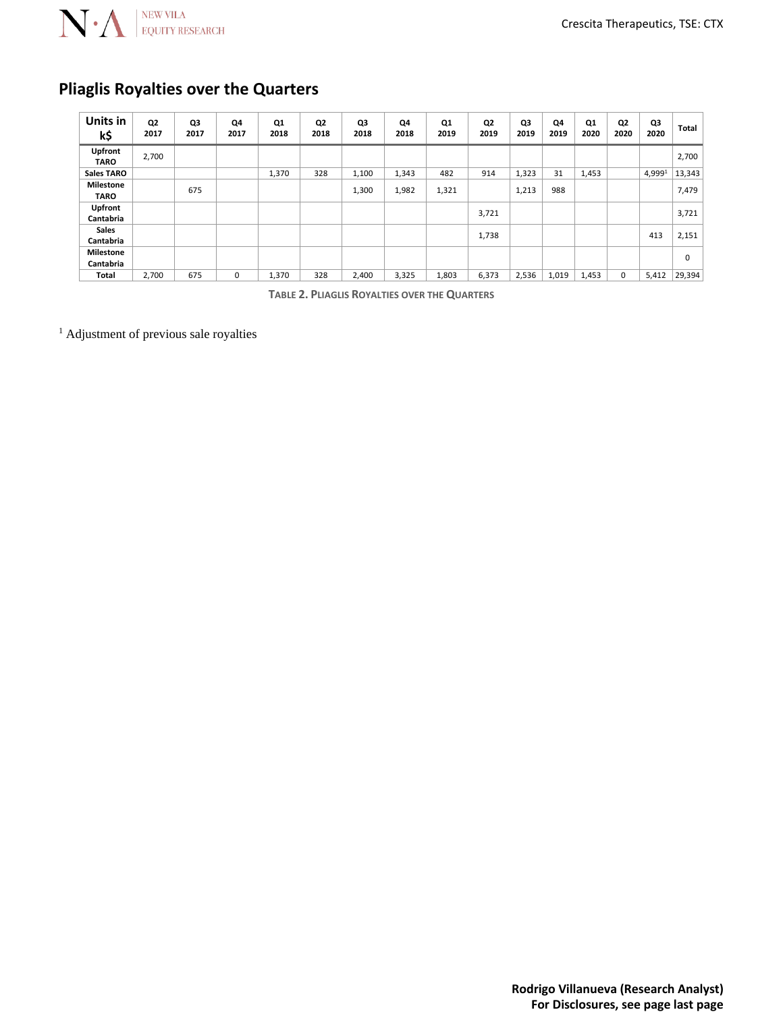

### **Pliaglis Royalties over the Quarters**

| Units in<br>k\$                 | Q2<br>2017 | Q3<br>2017 | Q4<br>2017 | Q1<br>2018 | Q2<br>2018 | Q3<br>2018 | Q4<br>2018 | Q1<br>2019 | Q2<br>2019 | Q3<br>2019 | Q4<br>2019 | Q1<br>2020 | Q2<br>2020 | Q3<br>2020 | Total  |
|---------------------------------|------------|------------|------------|------------|------------|------------|------------|------------|------------|------------|------------|------------|------------|------------|--------|
| Upfront<br><b>TARO</b>          | 2,700      |            |            |            |            |            |            |            |            |            |            |            |            |            | 2,700  |
| <b>Sales TARO</b>               |            |            |            | 1,370      | 328        | 1,100      | 1,343      | 482        | 914        | 1,323      | 31         | 1,453      |            | 4,9991     | 13,343 |
| <b>Milestone</b><br><b>TARO</b> |            | 675        |            |            |            | 1,300      | 1,982      | 1,321      |            | 1,213      | 988        |            |            |            | 7,479  |
| Upfront<br>Cantabria            |            |            |            |            |            |            |            |            | 3,721      |            |            |            |            |            | 3,721  |
| <b>Sales</b><br>Cantabria       |            |            |            |            |            |            |            |            | 1,738      |            |            |            |            | 413        | 2,151  |
| <b>Milestone</b><br>Cantabria   |            |            |            |            |            |            |            |            |            |            |            |            |            |            | 0      |
| Total                           | 2,700      | 675        | 0          | 1,370      | 328        | 2,400      | 3,325      | 1,803      | 6,373      | 2,536      | 1,019      | 1,453      | 0          | 5,412      | 29,394 |

**TABLE 2. PLIAGLIS ROYALTIES OVER THE QUARTERS**

<sup>1</sup> Adjustment of previous sale royalties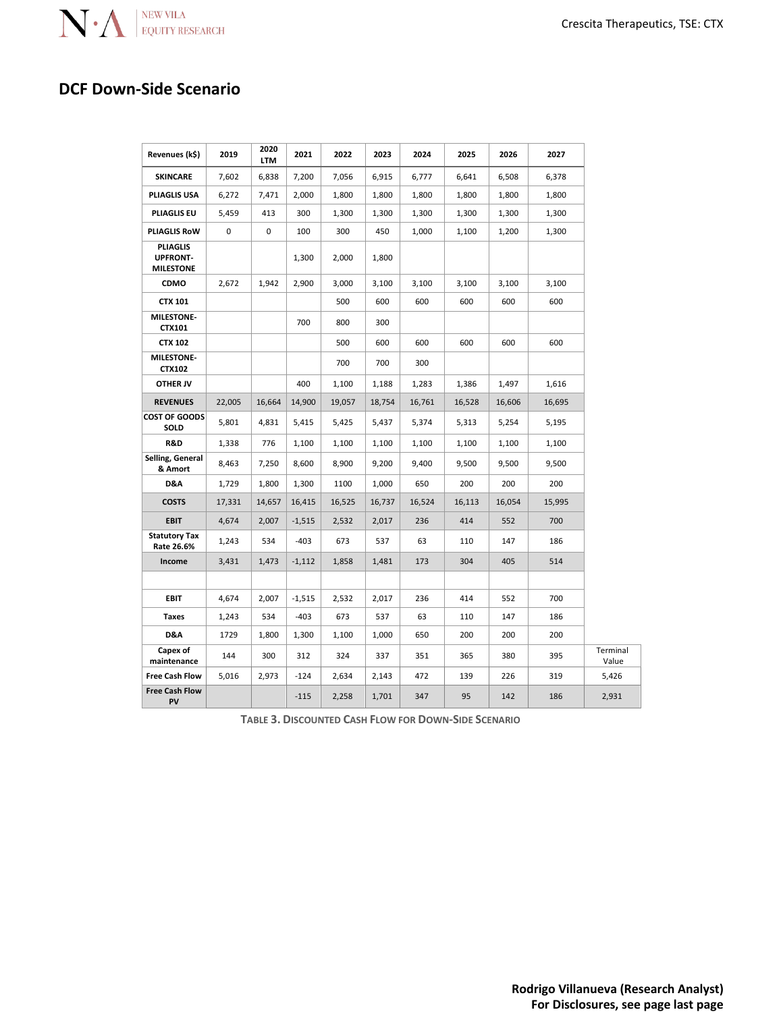

### **DCF Down-Side Scenario**

| Revenues (k\$)                                         | 2019   | 2020<br><b>LTM</b> | 2021     | 2022   | 2023   | 2024   | 2025   | 2026   | 2027   |                   |
|--------------------------------------------------------|--------|--------------------|----------|--------|--------|--------|--------|--------|--------|-------------------|
| <b>SKINCARE</b>                                        | 7,602  | 6,838              | 7,200    | 7,056  | 6,915  | 6,777  | 6,641  | 6,508  | 6,378  |                   |
| PLIAGLIS USA                                           | 6,272  | 7,471              | 2,000    | 1,800  | 1,800  | 1,800  | 1,800  | 1,800  | 1,800  |                   |
| <b>PLIAGLIS EU</b>                                     | 5,459  | 413                | 300      | 1,300  | 1,300  | 1,300  | 1,300  | 1,300  | 1,300  |                   |
| <b>PLIAGLIS ROW</b>                                    | 0      | 0                  | 100      | 300    | 450    | 1,000  | 1,100  | 1,200  | 1,300  |                   |
| <b>PLIAGLIS</b><br><b>UPFRONT-</b><br><b>MILESTONE</b> |        |                    | 1,300    | 2,000  | 1,800  |        |        |        |        |                   |
| CDMO                                                   | 2,672  | 1,942              | 2,900    | 3,000  | 3,100  | 3,100  | 3,100  | 3,100  | 3,100  |                   |
| <b>CTX 101</b>                                         |        |                    |          | 500    | 600    | 600    | 600    | 600    | 600    |                   |
| <b>MILESTONE-</b><br>CTX101                            |        |                    | 700      | 800    | 300    |        |        |        |        |                   |
| <b>CTX 102</b>                                         |        |                    |          | 500    | 600    | 600    | 600    | 600    | 600    |                   |
| MILESTONE-<br>CTX102                                   |        |                    |          | 700    | 700    | 300    |        |        |        |                   |
| <b>OTHER JV</b>                                        |        |                    | 400      | 1,100  | 1,188  | 1,283  | 1,386  | 1,497  | 1,616  |                   |
| <b>REVENUES</b>                                        | 22,005 | 16,664             | 14,900   | 19,057 | 18,754 | 16,761 | 16,528 | 16,606 | 16,695 |                   |
| <b>COST OF GOODS</b><br>SOLD                           | 5,801  | 4,831              | 5,415    | 5,425  | 5,437  | 5,374  | 5,313  | 5,254  | 5,195  |                   |
| R&D                                                    | 1,338  | 776                | 1,100    | 1,100  | 1,100  | 1,100  | 1,100  | 1,100  | 1,100  |                   |
| Selling, General<br>& Amort                            | 8,463  | 7,250              | 8,600    | 8,900  | 9,200  | 9,400  | 9,500  | 9,500  | 9,500  |                   |
| D&A                                                    | 1,729  | 1,800              | 1,300    | 1100   | 1,000  | 650    | 200    | 200    | 200    |                   |
| <b>COSTS</b>                                           | 17,331 | 14,657             | 16,415   | 16,525 | 16,737 | 16,524 | 16,113 | 16,054 | 15,995 |                   |
| <b>EBIT</b>                                            | 4,674  | 2,007              | $-1,515$ | 2,532  | 2,017  | 236    | 414    | 552    | 700    |                   |
| <b>Statutory Tax</b><br>Rate 26.6%                     | 1,243  | 534                | $-403$   | 673    | 537    | 63     | 110    | 147    | 186    |                   |
| Income                                                 | 3,431  | 1,473              | $-1,112$ | 1,858  | 1,481  | 173    | 304    | 405    | 514    |                   |
|                                                        |        |                    |          |        |        |        |        |        |        |                   |
| <b>EBIT</b>                                            | 4,674  | 2,007              | $-1,515$ | 2,532  | 2,017  | 236    | 414    | 552    | 700    |                   |
| Taxes                                                  | 1,243  | 534                | $-403$   | 673    | 537    | 63     | 110    | 147    | 186    |                   |
| D&A                                                    | 1729   | 1,800              | 1,300    | 1,100  | 1,000  | 650    | 200    | 200    | 200    |                   |
| Capex of<br>maintenance                                | 144    | 300                | 312      | 324    | 337    | 351    | 365    | 380    | 395    | Terminal<br>Value |
| <b>Free Cash Flow</b>                                  | 5,016  | 2,973              | $-124$   | 2,634  | 2,143  | 472    | 139    | 226    | 319    | 5,426             |
| <b>Free Cash Flow</b><br>PV                            |        |                    | $-115$   | 2,258  | 1,701  | 347    | 95     | 142    | 186    | 2,931             |

**TABLE 3. DISCOUNTED CASH FLOW FOR DOWN-SIDE SCENARIO**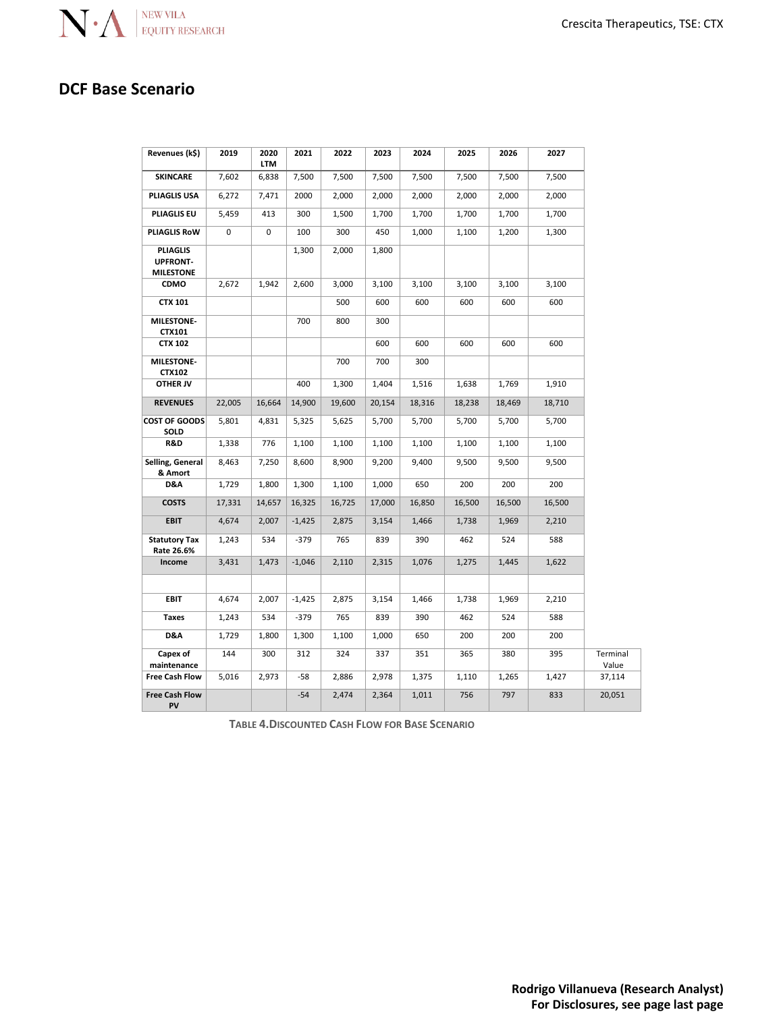### **DCF Base Scenario**

| Revenues (k\$)                                         | 2019   | 2020<br>LTM | 2021     | 2022   | 2023   | 2024   | 2025   | 2026   | 2027   |                   |
|--------------------------------------------------------|--------|-------------|----------|--------|--------|--------|--------|--------|--------|-------------------|
| <b>SKINCARE</b>                                        | 7,602  | 6,838       | 7,500    | 7,500  | 7,500  | 7,500  | 7,500  | 7,500  | 7,500  |                   |
| PLIAGLIS USA                                           | 6,272  | 7,471       | 2000     | 2,000  | 2,000  | 2,000  | 2,000  | 2,000  | 2,000  |                   |
| <b>PLIAGLIS EU</b>                                     | 5,459  | 413         | 300      | 1,500  | 1,700  | 1,700  | 1,700  | 1,700  | 1,700  |                   |
| <b>PLIAGLIS RoW</b>                                    | 0      | $\mathbf 0$ | 100      | 300    | 450    | 1,000  | 1,100  | 1,200  | 1,300  |                   |
| <b>PLIAGLIS</b><br><b>UPFRONT-</b><br><b>MILESTONE</b> |        |             | 1,300    | 2,000  | 1,800  |        |        |        |        |                   |
| CDMO                                                   | 2,672  | 1,942       | 2,600    | 3,000  | 3,100  | 3,100  | 3,100  | 3,100  | 3,100  |                   |
| <b>CTX 101</b>                                         |        |             |          | 500    | 600    | 600    | 600    | 600    | 600    |                   |
| MILESTONE-<br>CTX101                                   |        |             | 700      | 800    | 300    |        |        |        |        |                   |
| <b>CTX 102</b>                                         |        |             |          |        | 600    | 600    | 600    | 600    | 600    |                   |
| <b>MILESTONE-</b><br>CTX102                            |        |             |          | 700    | 700    | 300    |        |        |        |                   |
| OTHER JV                                               |        |             | 400      | 1,300  | 1,404  | 1,516  | 1,638  | 1,769  | 1,910  |                   |
| <b>REVENUES</b>                                        | 22,005 | 16,664      | 14,900   | 19,600 | 20,154 | 18,316 | 18,238 | 18,469 | 18,710 |                   |
| <b>COST OF GOODS</b><br>SOLD                           | 5,801  | 4,831       | 5,325    | 5,625  | 5,700  | 5,700  | 5,700  | 5,700  | 5,700  |                   |
| R&D                                                    | 1,338  | 776         | 1,100    | 1,100  | 1,100  | 1,100  | 1,100  | 1,100  | 1,100  |                   |
| Selling, General<br>& Amort                            | 8,463  | 7,250       | 8,600    | 8,900  | 9,200  | 9,400  | 9,500  | 9,500  | 9,500  |                   |
| D&A                                                    | 1,729  | 1,800       | 1,300    | 1,100  | 1,000  | 650    | 200    | 200    | 200    |                   |
| <b>COSTS</b>                                           | 17,331 | 14,657      | 16,325   | 16,725 | 17,000 | 16,850 | 16,500 | 16,500 | 16,500 |                   |
| <b>EBIT</b>                                            | 4,674  | 2,007       | $-1,425$ | 2,875  | 3,154  | 1,466  | 1,738  | 1,969  | 2,210  |                   |
| <b>Statutory Tax</b><br>Rate 26.6%                     | 1,243  | 534         | -379     | 765    | 839    | 390    | 462    | 524    | 588    |                   |
| Income                                                 | 3,431  | 1,473       | $-1,046$ | 2,110  | 2,315  | 1,076  | 1,275  | 1,445  | 1,622  |                   |
|                                                        |        |             |          |        |        |        |        |        |        |                   |
| EBIT                                                   | 4,674  | 2,007       | $-1,425$ | 2,875  | 3,154  | 1,466  | 1,738  | 1,969  | 2,210  |                   |
| <b>Taxes</b>                                           | 1,243  | 534         | $-379$   | 765    | 839    | 390    | 462    | 524    | 588    |                   |
| D&A                                                    | 1,729  | 1,800       | 1,300    | 1,100  | 1,000  | 650    | 200    | 200    | 200    |                   |
| Capex of<br>maintenance                                | 144    | 300         | 312      | 324    | 337    | 351    | 365    | 380    | 395    | Terminal<br>Value |
| <b>Free Cash Flow</b>                                  | 5,016  | 2,973       | $-58$    | 2,886  | 2,978  | 1,375  | 1,110  | 1,265  | 1,427  | 37,114            |
| <b>Free Cash Flow</b><br>PV                            |        |             | $-54$    | 2,474  | 2,364  | 1,011  | 756    | 797    | 833    | 20,051            |

**TABLE 4.DISCOUNTED CASH FLOW FOR BASE SCENARIO**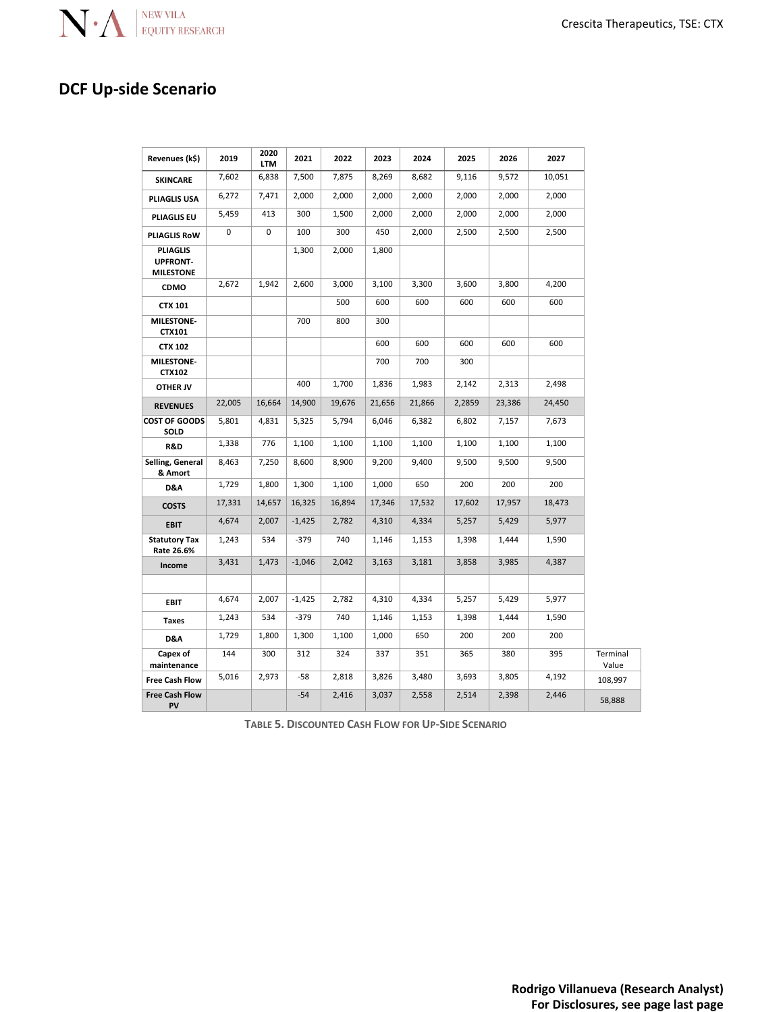

### **DCF Up-side Scenario**

| Revenues (k\$)                                         | 2019   | 2020<br><b>LTM</b> | 2021     | 2022   | 2023   | 2024   | 2025   | 2026   | 2027   |                   |
|--------------------------------------------------------|--------|--------------------|----------|--------|--------|--------|--------|--------|--------|-------------------|
| <b>SKINCARE</b>                                        | 7,602  | 6,838              | 7,500    | 7,875  | 8,269  | 8,682  | 9,116  | 9,572  | 10,051 |                   |
| PLIAGLIS USA                                           | 6,272  | 7,471              | 2,000    | 2,000  | 2,000  | 2,000  | 2,000  | 2,000  | 2,000  |                   |
| <b>PLIAGLIS EU</b>                                     | 5,459  | 413                | 300      | 1,500  | 2,000  | 2,000  | 2,000  | 2,000  | 2,000  |                   |
| PLIAGLIS RoW                                           | 0      | $\mathbf 0$        | 100      | 300    | 450    | 2,000  | 2,500  | 2,500  | 2,500  |                   |
| <b>PLIAGLIS</b><br><b>UPFRONT-</b><br><b>MILESTONE</b> |        |                    | 1,300    | 2,000  | 1,800  |        |        |        |        |                   |
| CDMO                                                   | 2,672  | 1,942              | 2,600    | 3,000  | 3,100  | 3,300  | 3,600  | 3,800  | 4,200  |                   |
| <b>CTX 101</b>                                         |        |                    |          | 500    | 600    | 600    | 600    | 600    | 600    |                   |
| <b>MILESTONE-</b><br>CTX101                            |        |                    | 700      | 800    | 300    |        |        |        |        |                   |
| <b>CTX 102</b>                                         |        |                    |          |        | 600    | 600    | 600    | 600    | 600    |                   |
| MILESTONE-<br>CTX102                                   |        |                    |          |        | 700    | 700    | 300    |        |        |                   |
| <b>OTHER JV</b>                                        |        |                    | 400      | 1,700  | 1,836  | 1,983  | 2,142  | 2,313  | 2,498  |                   |
| <b>REVENUES</b>                                        | 22,005 | 16,664             | 14,900   | 19,676 | 21,656 | 21,866 | 2,2859 | 23,386 | 24,450 |                   |
| <b>COST OF GOODS</b><br>SOLD                           | 5,801  | 4,831              | 5,325    | 5,794  | 6,046  | 6,382  | 6,802  | 7,157  | 7,673  |                   |
| R&D                                                    | 1,338  | 776                | 1,100    | 1,100  | 1,100  | 1,100  | 1,100  | 1,100  | 1,100  |                   |
| Selling, General<br>& Amort                            | 8,463  | 7,250              | 8,600    | 8,900  | 9,200  | 9,400  | 9,500  | 9,500  | 9,500  |                   |
| D&A                                                    | 1,729  | 1,800              | 1,300    | 1,100  | 1,000  | 650    | 200    | 200    | 200    |                   |
| <b>COSTS</b>                                           | 17,331 | 14,657             | 16,325   | 16,894 | 17,346 | 17,532 | 17,602 | 17,957 | 18,473 |                   |
| <b>EBIT</b>                                            | 4,674  | 2,007              | $-1,425$ | 2,782  | 4,310  | 4,334  | 5,257  | 5,429  | 5,977  |                   |
| <b>Statutory Tax</b><br>Rate 26.6%                     | 1,243  | 534                | $-379$   | 740    | 1,146  | 1,153  | 1,398  | 1,444  | 1,590  |                   |
| Income                                                 | 3,431  | 1,473              | $-1,046$ | 2,042  | 3,163  | 3,181  | 3,858  | 3,985  | 4,387  |                   |
|                                                        |        |                    |          |        |        |        |        |        |        |                   |
| <b>EBIT</b>                                            | 4,674  | 2,007              | $-1,425$ | 2,782  | 4,310  | 4,334  | 5,257  | 5,429  | 5,977  |                   |
| <b>Taxes</b>                                           | 1,243  | 534                | $-379$   | 740    | 1,146  | 1,153  | 1,398  | 1,444  | 1,590  |                   |
| D&A                                                    | 1,729  | 1,800              | 1,300    | 1,100  | 1,000  | 650    | 200    | 200    | 200    |                   |
| Capex of<br>maintenance                                | 144    | 300                | 312      | 324    | 337    | 351    | 365    | 380    | 395    | Terminal<br>Value |
| <b>Free Cash Flow</b>                                  | 5,016  | 2,973              | -58      | 2,818  | 3,826  | 3,480  | 3,693  | 3,805  | 4,192  | 108,997           |
| <b>Free Cash Flow</b><br>PV                            |        |                    | $-54$    | 2,416  | 3,037  | 2,558  | 2,514  | 2,398  | 2,446  | 58,888            |

**TABLE 5. DISCOUNTED CASH FLOW FOR UP-SIDE SCENARIO**